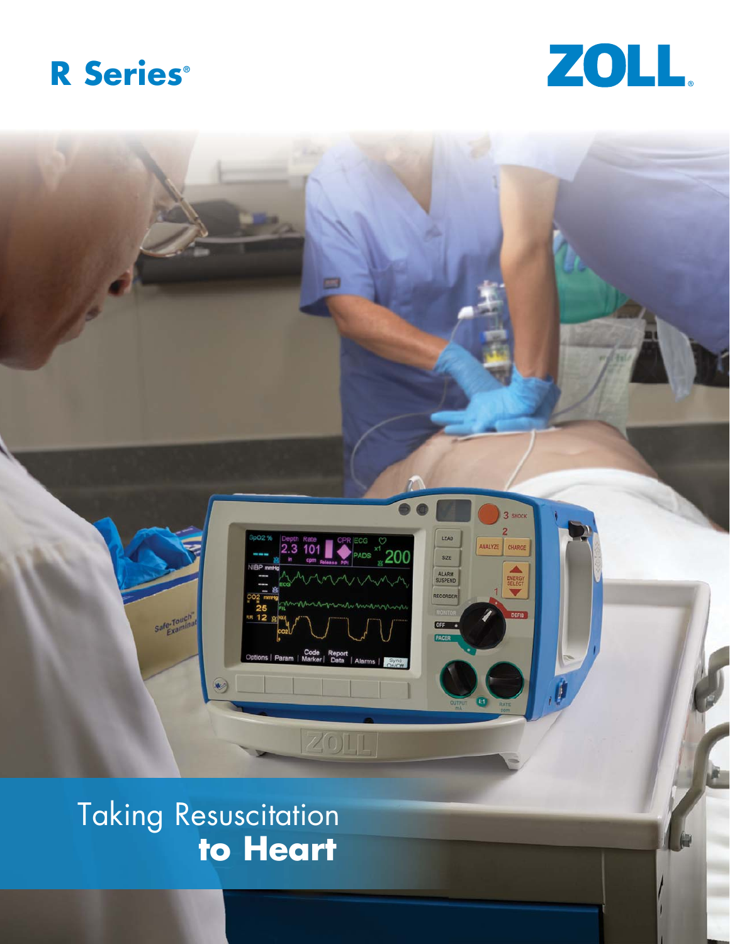





Taking Resuscitation **to Heart**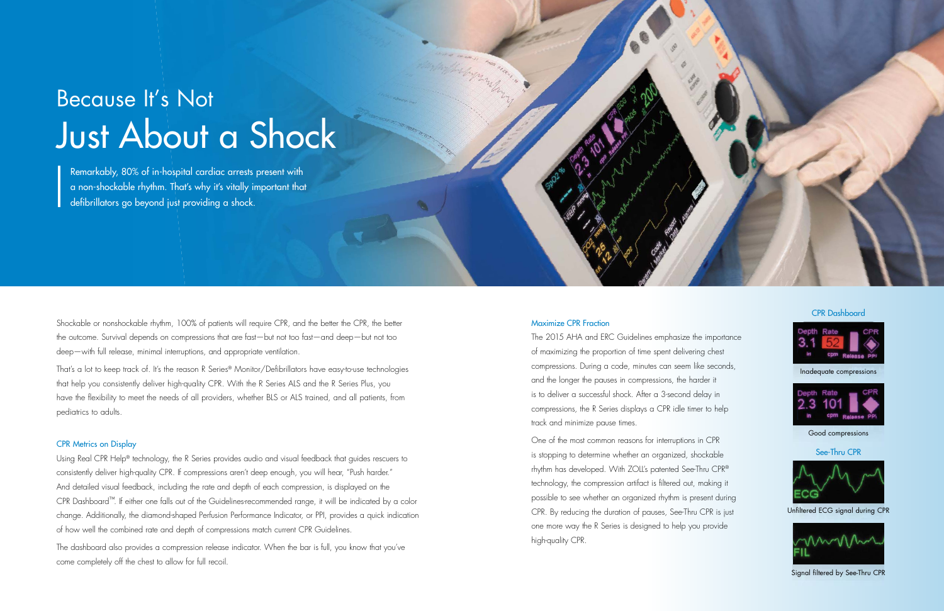Shockable or nonshockable rhythm, 100% of patients will require CPR, and the better the CPR, the better the outcome. Survival depends on compressions that are fast—but not too fast—and deep—but not too deep—with full release, minimal interruptions, and appropriate ventilation.

That's a lot to keep track of. It's the reason R Series® Monitor/Defibrillators have easy-to-use technologies that help you consistently deliver high-quality CPR. With the R Series ALS and the R Series Plus, you have the flexibility to meet the needs of all providers, whether BLS or ALS trained, and all patients, from pediatrics to adults.

#### CPR Metrics on Display

Using Real CPR Help® technology, the R Series provides audio and visual feedback that guides rescuers to consistently deliver high-quality CPR. If compressions aren't deep enough, you will hear, "Push harder." And detailed visual feedback, including the rate and depth of each compression, is displayed on the CPR Dashboard™. If either one falls out of the Guidelines-recommended range, it will be indicated by a color change. Additionally, the diamond-shaped Perfusion Performance Indicator, or PPI, provides a quick indication of how well the combined rate and depth of compressions match current CPR Guidelines.

The dashboard also provides a compression release indicator. When the bar is full, you know that you've come completely off the chest to allow for full recoil.

#### Maximize CPR Fraction

The 2015 AHA and ERC Guidelines emphasize the importance of maximizing the proportion of time spent delivering chest compressions. During a code, minutes can seem like seconds, and the longer the pauses in compressions, the harder it is to deliver a successful shock. After a 3-second delay in compressions, the R Series displays a CPR idle timer to help track and minimize pause times.

One of the most common reasons for interruptions in CPR is stopping to determine whether an organized, shockable rhythm has developed. With ZOLL's patented See-Thru CPR® technology, the compression artifact is filtered out, making it possible to see whether an organized rhythm is present during CPR. By reducing the duration of pauses, See-Thru CPR is just one more way the R Series is designed to help you provide high-quality CPR.



CPR Dashboard



See-Thru CPR



Unfiltered ECG signal during CPR



Signal filtered by See-Thru CPR

Remarkably, 80% of in-hospital cardiac arrests present with a non-shockable rhythm. That's why it's vitally important that defibrillators go beyond just providing a shock.

## Because It's Not Just About a Shock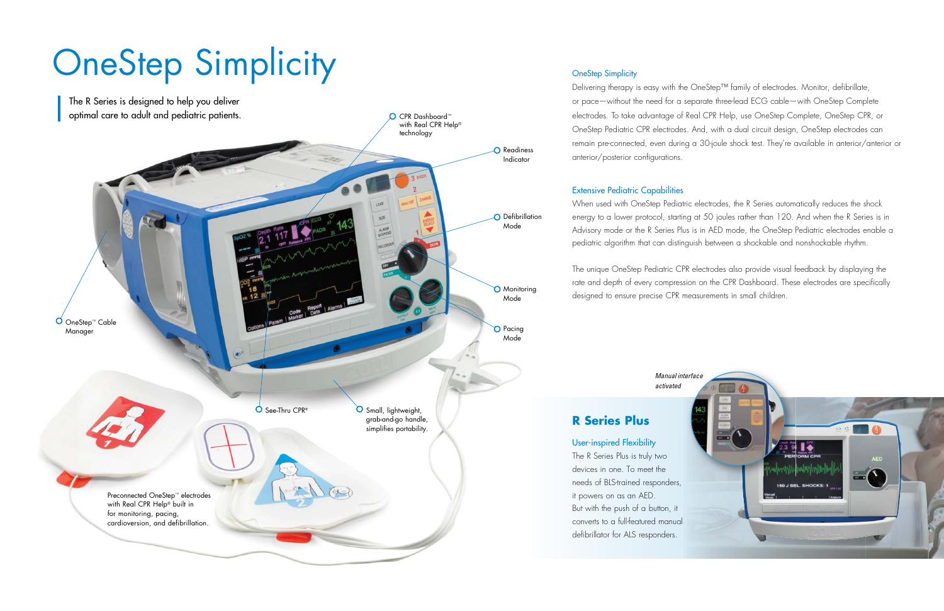

### **OneStep Simplicity**

Delivering therapy is easy with the OneStep™ family of electrodes. Monitor, defibrillate, or pace—without the need for a separate three-lead ECG cable—with OneStep Complete electrodes. To take advantage of Real CPR Help, use OneStep Complete, OneStep CPR, or OneStep Pediatric CPR electrodes. And, with a dual circuit design, OneStep electrodes can remain pre-connected, even during a 30-joule shock test. They're available in anterior/anterior or anterior/posterior configurations.

#### Extensive Pediatric Capabilities

When used with OneStep Pediatric electrodes, the R Series automatically reduces the shock energy to a lower protocol, starting at 50 joules rather than 120. And when the R Series is in Advisory mode or the R Series Plus is in AED mode, the OneStep Pediatric electrodes enable a pediatric algorithm that can distinguish between a shockable and nonshockable rhythm.

The unique OneStep Pediatric CPR electrodes also provide visual feedback by displaying the rate and depth of every compression on the CPR Dashboard. These electrodes are specifically designed to ensure precise CPR measurements in small children.

## User-inspired Flexibility

The R Series Plus is truly two devices in one. To meet the needs of BLS-trained responders, it powers on as an AED. But with the push of a button, it converts to a full-featured manual defibrillator for ALS responders.



## **R Series Plus**

# OneStep Simplicity

*Manual interface activated*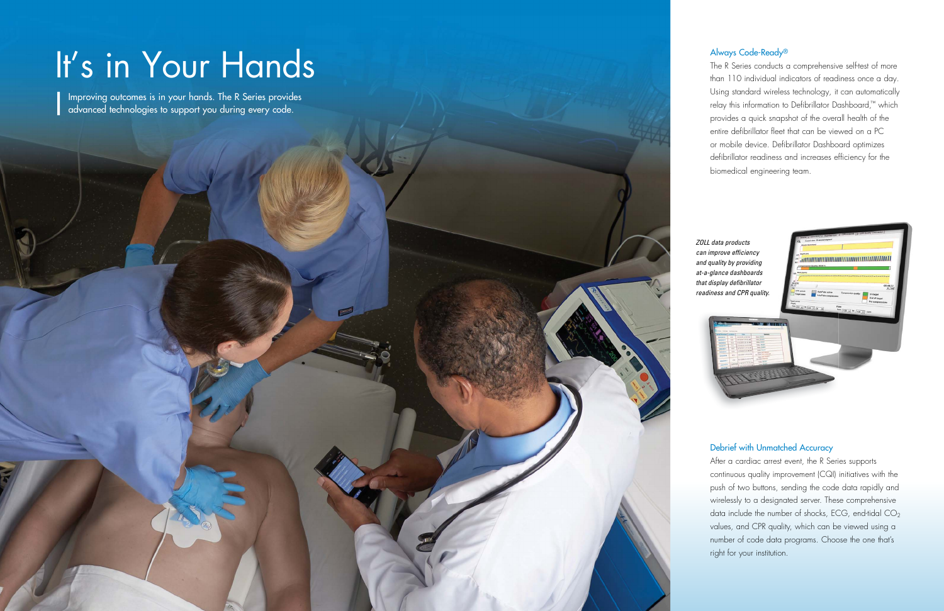### Always Code-Ready®

The R Series conducts a comprehensive self-test of more than 110 individual indicators of readiness once a day. Using standard wireless technology, it can automatically relay this information to Defibrillator Dashboard,™ which provides a quick snapshot of the overall health of the entire defibrillator fleet that can be viewed on a PC or mobile device. Defibrillator Dashboard optimizes defibrillator readiness and increases efficiency for the biomedical engineering team.

## Debrief with Unmatched Accuracy

After a cardiac arrest event, the R Series supports continuous quality improvement (CQI) initiatives with the push of two buttons, sending the code data rapidly and wirelessly to a designated server. These comprehensive data include the number of shocks, ECG, end-tidal CO<sub>2</sub> values, and CPR quality, which can be viewed using a number of code data programs. Choose the one that's right for your institution.

## It's in Your Hands

Improving outcomes is in your hands. The R Series provides advanced technologies to support you during every code.